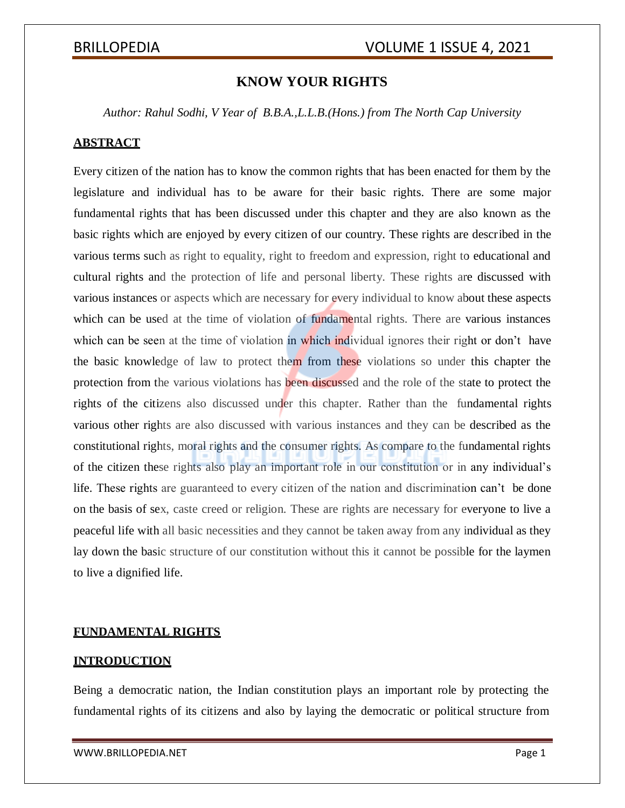# **KNOW YOUR RIGHTS**

*Author: Rahul Sodhi, V Year of B.B.A.,L.L.B.(Hons.) from The North Cap University*

## **ABSTRACT**

Every citizen of the nation has to know the common rights that has been enacted for them by the legislature and individual has to be aware for their basic rights. There are some major fundamental rights that has been discussed under this chapter and they are also known as the basic rights which are enjoyed by every citizen of our country. These rights are described in the various terms such as right to equality, right to freedom and expression, right to educational and cultural rights and the protection of life and personal liberty. These rights are discussed with various instances or aspects which are necessary for every individual to know about these aspects which can be used at the time of violation of fundamental rights. There are various instances which can be seen at the time of violation in which individual ignores their right or don't have the basic knowledge of law to protect them from these violations so under this chapter the protection from the various violations has been discussed and the role of the state to protect the rights of the citizens also discussed under this chapter. Rather than the fundamental rights various other rights are also discussed with various instances and they can be described as the constitutional rights, moral rights and the consumer rights. As compare to the fundamental rights of the citizen these rights also play an important role in our constitution or in any individual's life. These rights are guaranteed to every citizen of the nation and discrimination can't be done on the basis of sex, caste creed or religion. These are rights are necessary for everyone to live a peaceful life with all basic necessities and they cannot be taken away from any individual as they lay down the basic structure of our constitution without this it cannot be possible for the laymen to live a dignified life.

## **FUNDAMENTAL RIGHTS**

## **INTRODUCTION**

Being a democratic nation, the Indian constitution plays an important role by protecting the fundamental rights of its citizens and also by laying the democratic or political structure from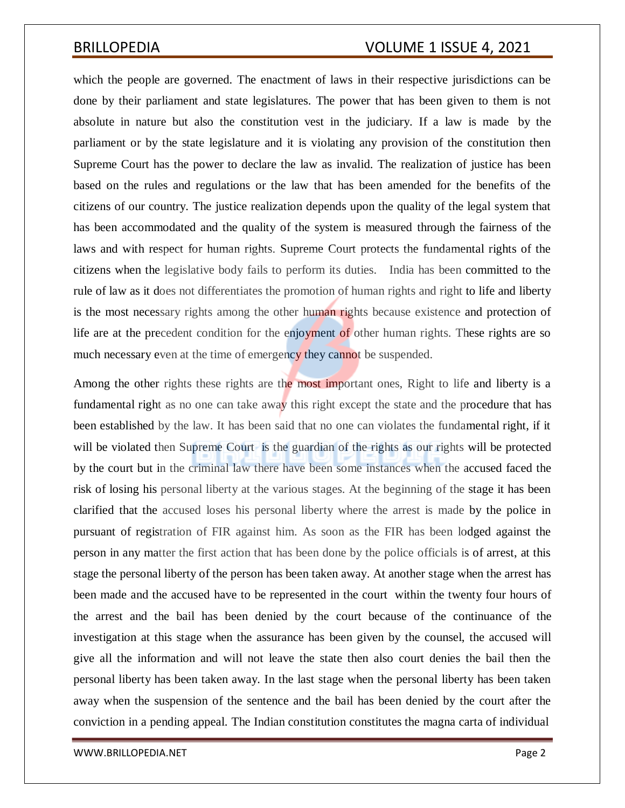which the people are governed. The enactment of laws in their respective jurisdictions can be done by their parliament and state legislatures. The power that has been given to them is not absolute in nature but also the constitution vest in the judiciary. If a law is made by the parliament or by the state legislature and it is violating any provision of the constitution then Supreme Court has the power to declare the law as invalid. The realization of justice has been based on the rules and regulations or the law that has been amended for the benefits of the citizens of our country. The justice realization depends upon the quality of the legal system that has been accommodated and the quality of the system is measured through the fairness of the laws and with respect for human rights. Supreme Court protects the fundamental rights of the citizens when the legislative body fails to perform its duties. India has been committed to the rule of law as it does not differentiates the promotion of human rights and right to life and liberty is the most necessary rights among the other human rights because existence and protection of life are at the precedent condition for the enjoyment of other human rights. These rights are so much necessary even at the time of emergency they cannot be suspended.

Among the other rights these rights are the most important ones, Right to life and liberty is a fundamental right as no one can take away this right except the state and the procedure that has been established by the law. It has been said that no one can violates the fundamental right, if it will be violated then Supreme Court is the guardian of the rights as our rights will be protected by the court but in the criminal law there have been some instances when the accused faced the risk of losing his personal liberty at the various stages. At the beginning of the stage it has been clarified that the accused loses his personal liberty where the arrest is made by the police in pursuant of registration of FIR against him. As soon as the FIR has been lodged against the person in any matter the first action that has been done by the police officials is of arrest, at this stage the personal liberty of the person has been taken away. At another stage when the arrest has been made and the accused have to be represented in the court within the twenty four hours of the arrest and the bail has been denied by the court because of the continuance of the investigation at this stage when the assurance has been given by the counsel, the accused will give all the information and will not leave the state then also court denies the bail then the personal liberty has been taken away. In the last stage when the personal liberty has been taken away when the suspension of the sentence and the bail has been denied by the court after the conviction in a pending appeal. The Indian constitution constitutes the magna carta of individual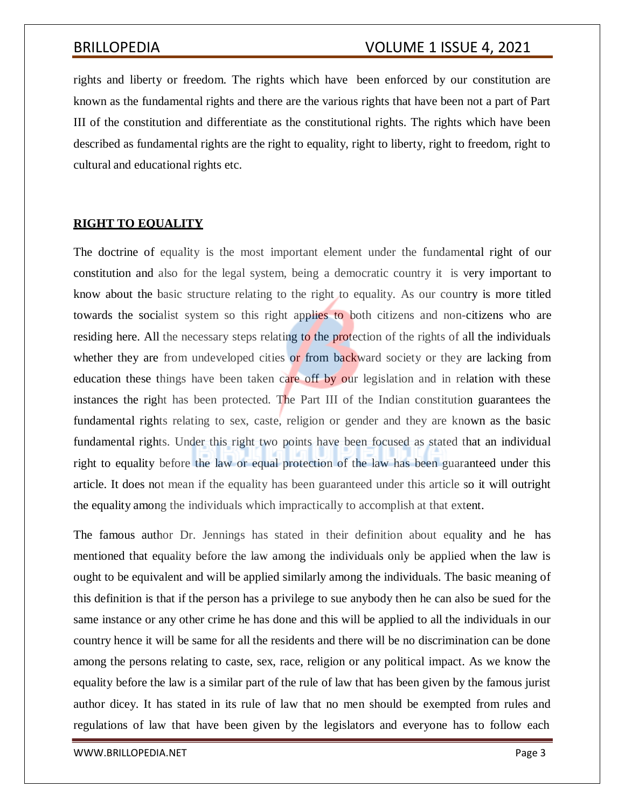rights and liberty or freedom. The rights which have been enforced by our constitution are known as the fundamental rights and there are the various rights that have been not a part of Part III of the constitution and differentiate as the constitutional rights. The rights which have been described as fundamental rights are the right to equality, right to liberty, right to freedom, right to cultural and educational rights etc.

## **RIGHT TO EQUALITY**

The doctrine of equality is the most important element under the fundamental right of our constitution and also for the legal system, being a democratic country it is very important to know about the basic structure relating to the right to equality. As our country is more titled towards the socialist system so this right applies to both citizens and non-citizens who are residing here. All the necessary steps relating to the protection of the rights of all the individuals whether they are from undeveloped cities or from backward society or they are lacking from education these things have been taken care off by our legislation and in relation with these instances the right has been protected. The Part III of the Indian constitution guarantees the fundamental rights relating to sex, caste, religion or gender and they are known as the basic fundamental rights. Under this right two points have been focused as stated that an individual right to equality before the law or equal protection of the law has been guaranteed under this article. It does not mean if the equality has been guaranteed under this article so it will outright the equality among the individuals which impractically to accomplish at that extent.

The famous author Dr. Jennings has stated in their definition about equality and he has mentioned that equality before the law among the individuals only be applied when the law is ought to be equivalent and will be applied similarly among the individuals. The basic meaning of this definition is that if the person has a privilege to sue anybody then he can also be sued for the same instance or any other crime he has done and this will be applied to all the individuals in our country hence it will be same for all the residents and there will be no discrimination can be done among the persons relating to caste, sex, race, religion or any political impact. As we know the equality before the law is a similar part of the rule of law that has been given by the famous jurist author dicey. It has stated in its rule of law that no men should be exempted from rules and regulations of law that have been given by the legislators and everyone has to follow each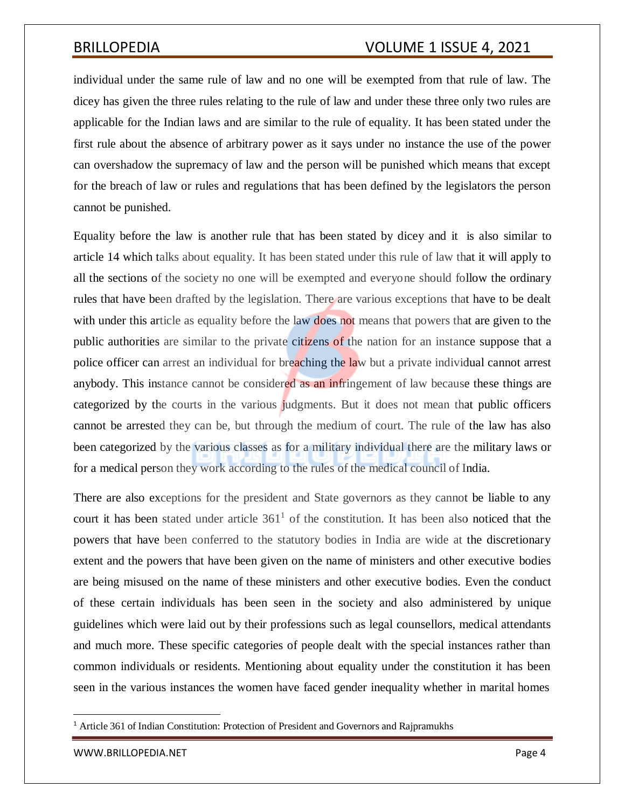individual under the same rule of law and no one will be exempted from that rule of law. The dicey has given the three rules relating to the rule of law and under these three only two rules are applicable for the Indian laws and are similar to the rule of equality. It has been stated under the first rule about the absence of arbitrary power as it says under no instance the use of the power can overshadow the supremacy of law and the person will be punished which means that except for the breach of law or rules and regulations that has been defined by the legislators the person cannot be punished.

Equality before the law is another rule that has been stated by dicey and it is also similar to article 14 which talks about equality. It has been stated under this rule of law that it will apply to all the sections of the society no one will be exempted and everyone should follow the ordinary rules that have been drafted by the legislation. There are various exceptions that have to be dealt with under this article as equality before the law does not means that powers that are given to the public authorities are similar to the private citizens of the nation for an instance suppose that a police officer can arrest an individual for breaching the law but a private individual cannot arrest anybody. This instance cannot be considered as an infringement of law because these things are categorized by the courts in the various judgments. But it does not mean that public officers cannot be arrested they can be, but through the medium of court. The rule of the law has also been categorized by the various classes as for a military individual there are the military laws or for a medical person they work according to the rules of the medical council of India.

There are also exceptions for the president and State governors as they cannot be liable to any court it has been stated under article  $361<sup>1</sup>$  of the constitution. It has been also noticed that the powers that have been conferred to the statutory bodies in India are wide at the discretionary extent and the powers that have been given on the name of ministers and other executive bodies are being misused on the name of these ministers and other executive bodies. Even the conduct of these certain individuals has been seen in the society and also administered by unique guidelines which were laid out by their professions such as legal counsellors, medical attendants and much more. These specific categories of people dealt with the special instances rather than common individuals or residents. Mentioning about equality under the constitution it has been seen in the various instances the women have faced gender inequality whether in marital homes

<sup>1</sup> Article 361 of Indian Constitution: Protection of President and Governors and Rajpramukhs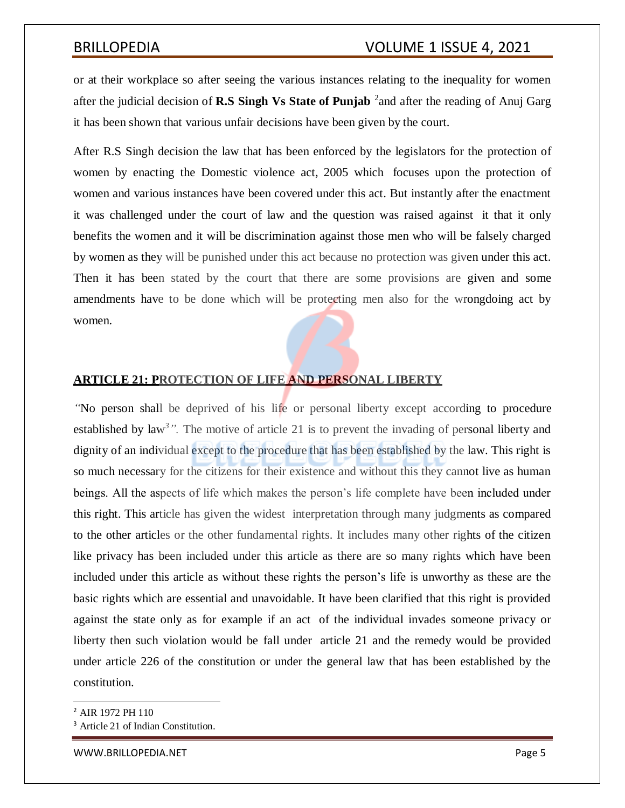or at their workplace so after seeing the various instances relating to the inequality for women after the judicial decision of **R.S Singh Vs State of Punjab** <sup>2</sup> and after the reading of Anuj Garg it has been shown that various unfair decisions have been given by the court.

After R.S Singh decision the law that has been enforced by the legislators for the protection of women by enacting the Domestic violence act, 2005 which focuses upon the protection of women and various instances have been covered under this act. But instantly after the enactment it was challenged under the court of law and the question was raised against it that it only benefits the women and it will be discrimination against those men who will be falsely charged by women as they will be punished under this act because no protection was given under this act. Then it has been stated by the court that there are some provisions are given and some amendments have to be done which will be protecting men also for the wrongdoing act by women.

## **ARTICLE 21: PROTECTION OF LIFE AND PERSONAL LIBERTY**

*"*No person shall be deprived of his life or personal liberty except according to procedure established by law<sup>3</sup>". The motive of article 21 is to prevent the invading of personal liberty and dignity of an individual except to the procedure that has been established by the law. This right is so much necessary for the citizens for their existence and without this they cannot live as human beings. All the aspects of life which makes the person's life complete have been included under this right. This article has given the widest interpretation through many judgments as compared to the other articles or the other fundamental rights. It includes many other rights of the citizen like privacy has been included under this article as there are so many rights which have been included under this article as without these rights the person's life is unworthy as these are the basic rights which are essential and unavoidable. It have been clarified that this right is provided against the state only as for example if an act of the individual invades someone privacy or liberty then such violation would be fall under article 21 and the remedy would be provided under article 226 of the constitution or under the general law that has been established by the constitution.

<sup>2</sup> AIR 1972 PH 110

<sup>&</sup>lt;sup>3</sup> Article 21 of Indian Constitution.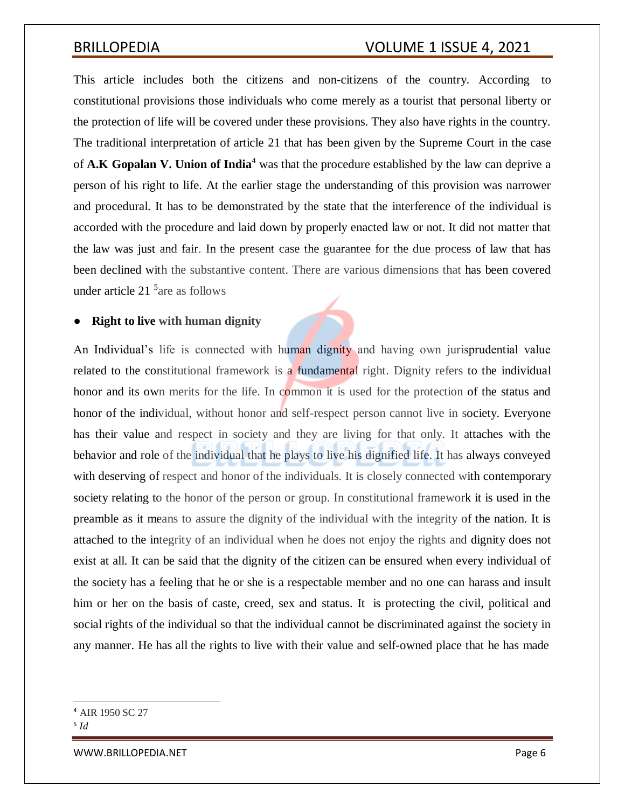This article includes both the citizens and non-citizens of the country. According to constitutional provisions those individuals who come merely as a tourist that personal liberty or the protection of life will be covered under these provisions. They also have rights in the country. The traditional interpretation of article 21 that has been given by the Supreme Court in the case of **A.K Gopalan V. Union of India**<sup>4</sup> was that the procedure established by the law can deprive a person of his right to life. At the earlier stage the understanding of this provision was narrower and procedural. It has to be demonstrated by the state that the interference of the individual is accorded with the procedure and laid down by properly enacted law or not. It did not matter that the law was just and fair. In the present case the guarantee for the due process of law that has been declined with the substantive content. There are various dimensions that has been covered under article 21 <sup>5</sup> are as follows

## ● **Right to live with human dignity**

An Individual's life is connected with human dignity and having own jurisprudential value related to the constitutional framework is a fundamental right. Dignity refers to the individual honor and its own merits for the life. In common it is used for the protection of the status and honor of the individual, without honor and self-respect person cannot live in society. Everyone has their value and respect in society and they are living for that only. It attaches with the behavior and role of the individual that he plays to live his dignified life. It has always conveyed with deserving of respect and honor of the individuals. It is closely connected with contemporary society relating to the honor of the person or group. In constitutional framework it is used in the preamble as it means to assure the dignity of the individual with the integrity of the nation. It is attached to the integrity of an individual when he does not enjoy the rights and dignity does not exist at all. It can be said that the dignity of the citizen can be ensured when every individual of the society has a feeling that he or she is a respectable member and no one can harass and insult him or her on the basis of caste, creed, sex and status. It is protecting the civil, political and social rights of the individual so that the individual cannot be discriminated against the society in any manner. He has all the rights to live with their value and self-owned place that he has made

<sup>4</sup> AIR 1950 SC 27

<sup>5</sup> *Id*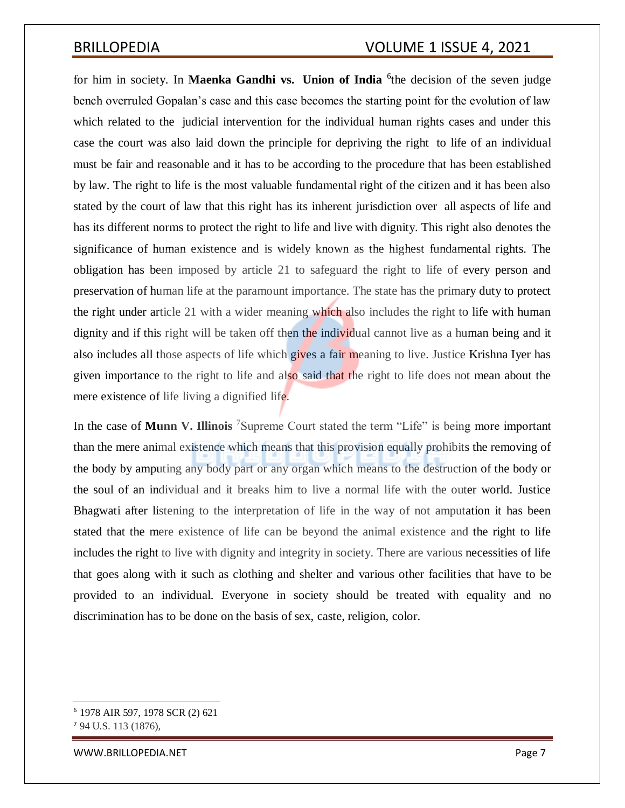for him in society. In **Maenka Gandhi vs. Union of India** <sup>6</sup> the decision of the seven judge bench overruled Gopalan's case and this case becomes the starting point for the evolution of law which related to the judicial intervention for the individual human rights cases and under this case the court was also laid down the principle for depriving the right to life of an individual must be fair and reasonable and it has to be according to the procedure that has been established by law. The right to life is the most valuable fundamental right of the citizen and it has been also stated by the court of law that this right has its inherent jurisdiction over all aspects of life and has its different norms to protect the right to life and live with dignity. This right also denotes the significance of human existence and is widely known as the highest fundamental rights. The obligation has been imposed by article 21 to safeguard the right to life of every person and preservation of human life at the paramount importance. The state has the primary duty to protect the right under article 21 with a wider meaning which also includes the right to life with human dignity and if this right will be taken off then the individual cannot live as a human being and it also includes all those aspects of life which gives a fair meaning to live. Justice Krishna Iyer has given importance to the right to life and also said that the right to life does not mean about the mere existence of life living a dignified life.

In the case of **Munn V. Illinois** <sup>7</sup>Supreme Court stated the term "Life" is being more important than the mere animal existence which means that this provision equally prohibits the removing of the body by amputing any body part or any organ which means to the destruction of the body or the soul of an individual and it breaks him to live a normal life with the outer world. Justice Bhagwati after listening to the interpretation of life in the way of not amputation it has been stated that the mere existence of life can be beyond the animal existence and the right to life includes the right to live with dignity and integrity in society. There are various necessities of life that goes along with it such as clothing and shelter and various other facilities that have to be provided to an individual. Everyone in society should be treated with equality and no discrimination has to be done on the basis of sex, caste, religion, color.

<sup>6</sup> 1978 AIR 597, 1978 SCR (2) 621

<sup>7</sup> 94 U.S. 113 (1876),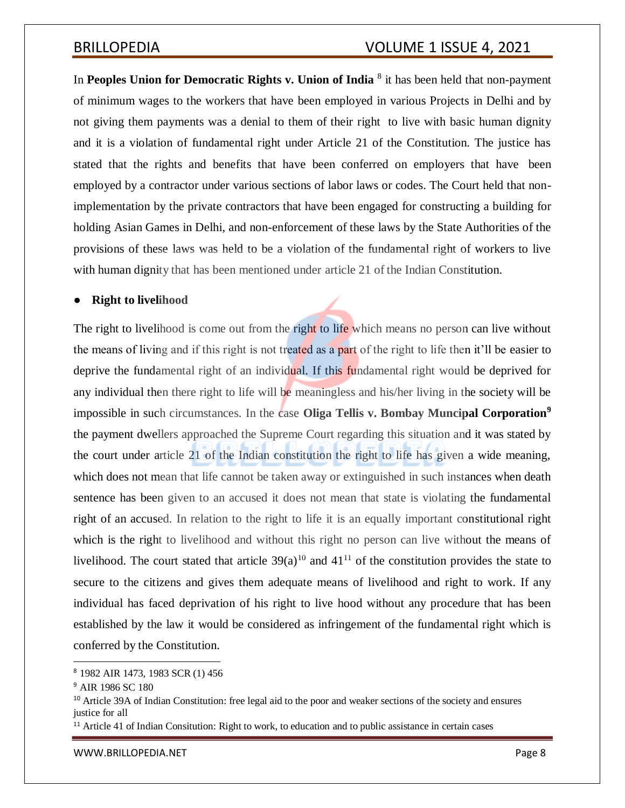In Peoples Union for Democratic Rights v. Union of India <sup>8</sup> it has been held that non-payment of minimum wages to the workers that have been employed in various Projects in Delhi and by not giving them payments was a denial to them of their right to live with basic human dignity and it is a violation of fundamental right under Article 21 of the Constitution. The justice has stated that the rights and benefits that have been conferred on employers that have been employed by a contractor under various sections of labor laws or codes. The Court held that nonimplementation by the private contractors that have been engaged for constructing a building for holding Asian Games in Delhi, and non-enforcement of these laws by the State Authorities of the provisions of these laws was held to be a violation of the fundamental right of workers to live with human dignity that has been mentioned under article 21 of the Indian Constitution.

## **Right to livelihood**

The right to livelihood is come out from the right to life which means no person can live without the means of living and if this right is not treated as a part of the right to life then it'll be easier to deprive the fundamental right of an individual. If this fundamental right would be deprived for any individual then there right to life will be meaningless and his/her living in the society will be impossible in such circumstances. In the case **Oliga Tellis v. Bombay Muncipal Corporation<sup>9</sup>** the payment dwellers approached the Supreme Court regarding this situation and it was stated by the court under article 21 of the Indian constitution the right to life has given a wide meaning, which does not mean that life cannot be taken away or extinguished in such instances when death sentence has been given to an accused it does not mean that state is violating the fundamental right of an accused. In relation to the right to life it is an equally important constitutional right which is the right to livelihood and without this right no person can live without the means of livelihood. The court stated that article  $39(a)^{10}$  and  $41^{11}$  of the constitution provides the state to secure to the citizens and gives them adequate means of livelihood and right to work. If any individual has faced deprivation of his right to live hood without any procedure that has been established by the law it would be considered as infringement of the fundamental right which is conferred by the Constitution.

<sup>8</sup> 1982 AIR 1473, 1983 SCR (1) 456

<sup>9</sup> AIR 1986 SC 180

<sup>&</sup>lt;sup>10</sup> Article 39A of Indian Constitution: free legal aid to the poor and weaker sections of the society and ensures justice for all

<sup>&</sup>lt;sup>11</sup> Article 41 of Indian Consitution: Right to work, to education and to public assistance in certain cases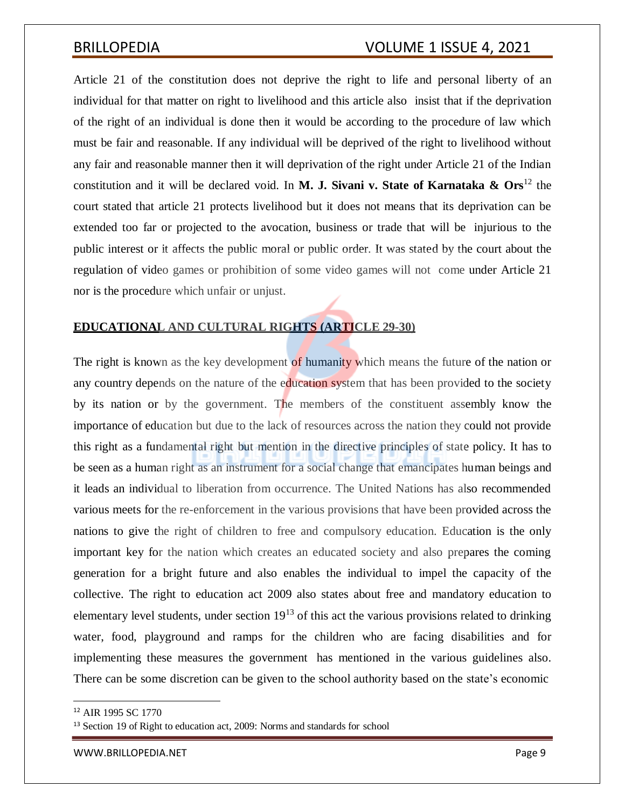Article 21 of the constitution does not deprive the right to life and personal liberty of an individual for that matter on right to livelihood and this article also insist that if the deprivation of the right of an individual is done then it would be according to the procedure of law which must be fair and reasonable. If any individual will be deprived of the right to livelihood without any fair and reasonable manner then it will deprivation of the right under Article 21 of the Indian constitution and it will be declared void. In **M. J. Sivani v. State of Karnataka & Ors**<sup>12</sup> the court stated that article 21 protects livelihood but it does not means that its deprivation can be extended too far or projected to the avocation, business or trade that will be injurious to the public interest or it affects the public moral or public order. It was stated by the court about the regulation of video games or prohibition of some video games will not come under Article 21 nor is the procedure which unfair or unjust.

## **EDUCATIONAL AND CULTURAL RIGHTS (ARTICLE 29-30)**

The right is known as the key development of humanity which means the future of the nation or any country depends on the nature of the education system that has been provided to the society by its nation or by the government. The members of the constituent assembly know the importance of education but due to the lack of resources across the nation they could not provide this right as a fundamental right but mention in the directive principles of state policy. It has to be seen as a human right as an instrument for a social change that emancipates human beings and it leads an individual to liberation from occurrence. The United Nations has also recommended various meets for the re-enforcement in the various provisions that have been provided across the nations to give the right of children to free and compulsory education. Education is the only important key for the nation which creates an educated society and also prepares the coming generation for a bright future and also enables the individual to impel the capacity of the collective. The right to education act 2009 also states about free and mandatory education to elementary level students, under section  $19<sup>13</sup>$  of this act the various provisions related to drinking water, food, playground and ramps for the children who are facing disabilities and for implementing these measures the government has mentioned in the various guidelines also. There can be some discretion can be given to the school authority based on the state's economic

<sup>12</sup> AIR 1995 SC 1770

<sup>&</sup>lt;sup>13</sup> Section 19 of Right to education act, 2009: Norms and standards for school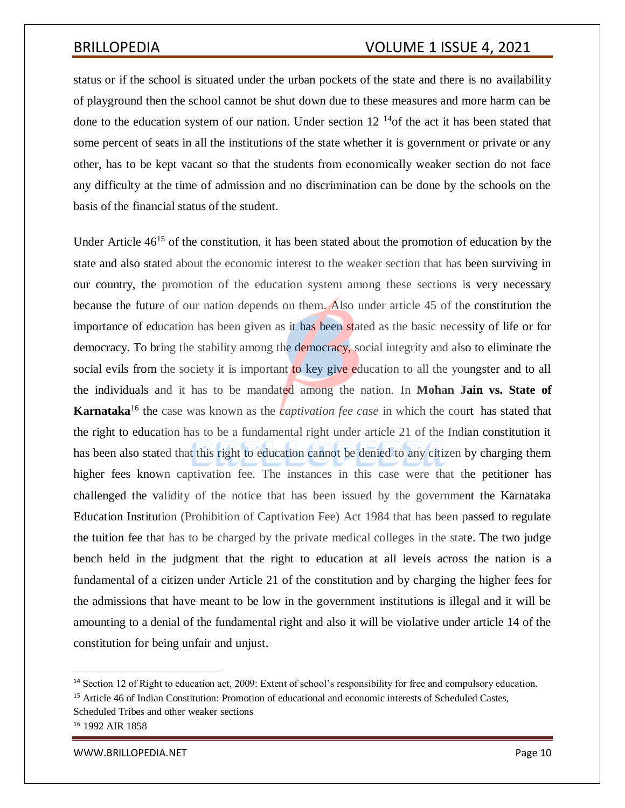status or if the school is situated under the urban pockets of the state and there is no availability of playground then the school cannot be shut down due to these measures and more harm can be done to the education system of our nation. Under section  $12^{-14}$ of the act it has been stated that some percent of seats in all the institutions of the state whether it is government or private or any other, has to be kept vacant so that the students from economically weaker section do not face any difficulty at the time of admission and no discrimination can be done by the schools on the basis of the financial status of the student.

Under Article  $46^{15}$  of the constitution, it has been stated about the promotion of education by the state and also stated about the economic interest to the weaker section that has been surviving in our country, the promotion of the education system among these sections is very necessary because the future of our nation depends on them. Also under article 45 of the constitution the importance of education has been given as it has been stated as the basic necessity of life or for democracy. To bring the stability among the democracy, social integrity and also to eliminate the social evils from the society it is important to key give education to all the youngster and to all the individuals and it has to be mandated among the nation. In **Mohan Jain vs. State of Karnataka**<sup>16</sup> the case was known as the *captivation fee case* in which the court has stated that the right to education has to be a fundamental right under article 21 of the Indian constitution it has been also stated that this right to education cannot be denied to any citizen by charging them higher fees known captivation fee. The instances in this case were that the petitioner has challenged the validity of the notice that has been issued by the government the Karnataka Education Institution (Prohibition of Captivation Fee) Act 1984 that has been passed to regulate the tuition fee that has to be charged by the private medical colleges in the state. The two judge bench held in the judgment that the right to education at all levels across the nation is a fundamental of a citizen under Article 21 of the constitution and by charging the higher fees for the admissions that have meant to be low in the government institutions is illegal and it will be amounting to a denial of the fundamental right and also it will be violative under article 14 of the constitution for being unfair and unjust.

Scheduled Tribes and other weaker sections

<sup>14</sup> Section 12 of Right to education act, 2009: Extent of school's responsibility for free and compulsory education.

<sup>15</sup> Article 46 of Indian Constitution: Promotion of educational and economic interests of Scheduled Castes,

<sup>16</sup> 1992 AIR 1858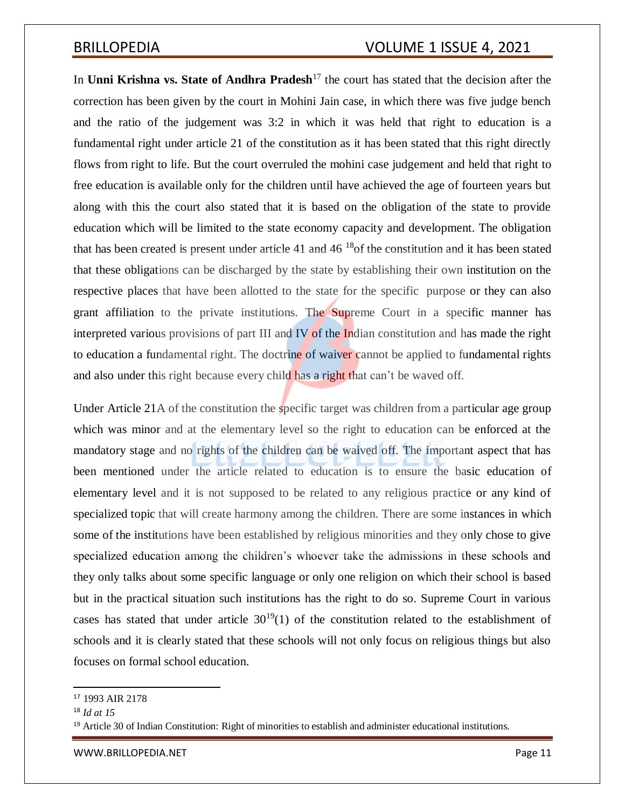In **Unni Krishna vs. State of Andhra Pradesh**<sup>17</sup> the court has stated that the decision after the correction has been given by the court in Mohini Jain case, in which there was five judge bench and the ratio of the judgement was 3:2 in which it was held that right to education is a fundamental right under article 21 of the constitution as it has been stated that this right directly flows from right to life. But the court overruled the mohini case judgement and held that right to free education is available only for the children until have achieved the age of fourteen years but along with this the court also stated that it is based on the obligation of the state to provide education which will be limited to the state economy capacity and development. The obligation that has been created is present under article 41 and  $46^{18}$  of the constitution and it has been stated that these obligations can be discharged by the state by establishing their own institution on the respective places that have been allotted to the state for the specific purpose or they can also grant affiliation to the private institutions. The Supreme Court in a specific manner has interpreted various provisions of part III and IV of the Indian constitution and has made the right to education a fundamental right. The doctrine of waiver cannot be applied to fundamental rights and also under this right because every child has a right that can't be waved off.

Under Article 21A of the constitution the specific target was children from a particular age group which was minor and at the elementary level so the right to education can be enforced at the mandatory stage and no rights of the children can be waived off. The important aspect that has been mentioned under the article related to education is to ensure the basic education of elementary level and it is not supposed to be related to any religious practice or any kind of specialized topic that will create harmony among the children. There are some instances in which some of the institutions have been established by religious minorities and they only chose to give specialized education among the children's whoever take the admissions in these schools and they only talks about some specific language or only one religion on which their school is based but in the practical situation such institutions has the right to do so. Supreme Court in various cases has stated that under article  $30^{19}(1)$  of the constitution related to the establishment of schools and it is clearly stated that these schools will not only focus on religious things but also focuses on formal school education.

<sup>17</sup> 1993 AIR 2178

<sup>18</sup> *Id at 15*

<sup>&</sup>lt;sup>19</sup> Article 30 of Indian Constitution: Right of minorities to establish and administer educational institutions.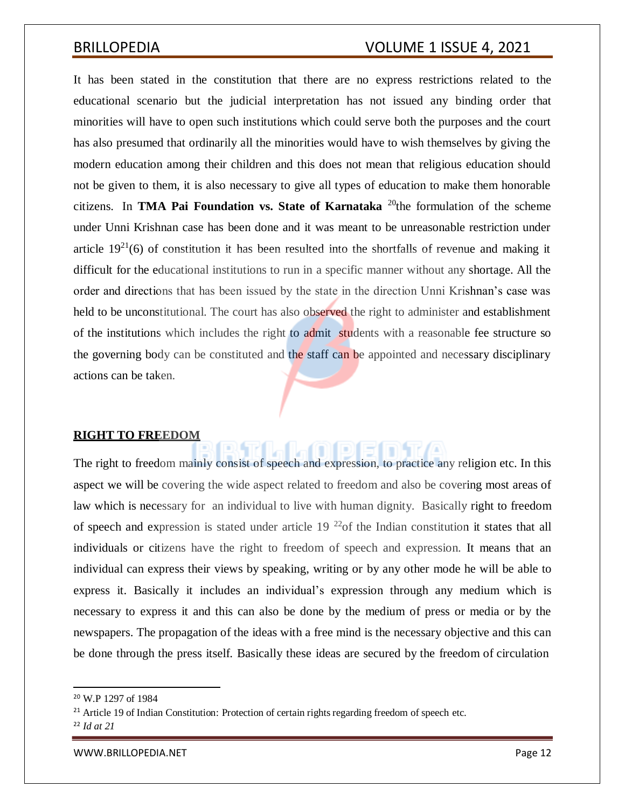It has been stated in the constitution that there are no express restrictions related to the educational scenario but the judicial interpretation has not issued any binding order that minorities will have to open such institutions which could serve both the purposes and the court has also presumed that ordinarily all the minorities would have to wish themselves by giving the modern education among their children and this does not mean that religious education should not be given to them, it is also necessary to give all types of education to make them honorable citizens. In **TMA Pai Foundation vs. State of Karnataka** <sup>20</sup>the formulation of the scheme under Unni Krishnan case has been done and it was meant to be unreasonable restriction under article  $19^{21}(6)$  of constitution it has been resulted into the shortfalls of revenue and making it difficult for the educational institutions to run in a specific manner without any shortage. All the order and directions that has been issued by the state in the direction Unni Krishnan's case was held to be unconstitutional. The court has also observed the right to administer and establishment of the institutions which includes the right to admit students with a reasonable fee structure so the governing body can be constituted and the staff can be appointed and necessary disciplinary actions can be taken.

## **RIGHT TO FREEDOM**

The right to freedom mainly consist of speech and expression, to practice any religion etc. In this aspect we will be covering the wide aspect related to freedom and also be covering most areas of law which is necessary for an individual to live with human dignity. Basically right to freedom of speech and expression is stated under article  $19^{22}$  of the Indian constitution it states that all individuals or citizens have the right to freedom of speech and expression. It means that an individual can express their views by speaking, writing or by any other mode he will be able to express it. Basically it includes an individual's expression through any medium which is necessary to express it and this can also be done by the medium of press or media or by the newspapers. The propagation of the ideas with a free mind is the necessary objective and this can be done through the press itself. Basically these ideas are secured by the freedom of circulation

<sup>20</sup> W.P 1297 of 1984

<sup>&</sup>lt;sup>21</sup> Article 19 of Indian Constitution: Protection of certain rights regarding freedom of speech etc.

<sup>22</sup> *Id at 21*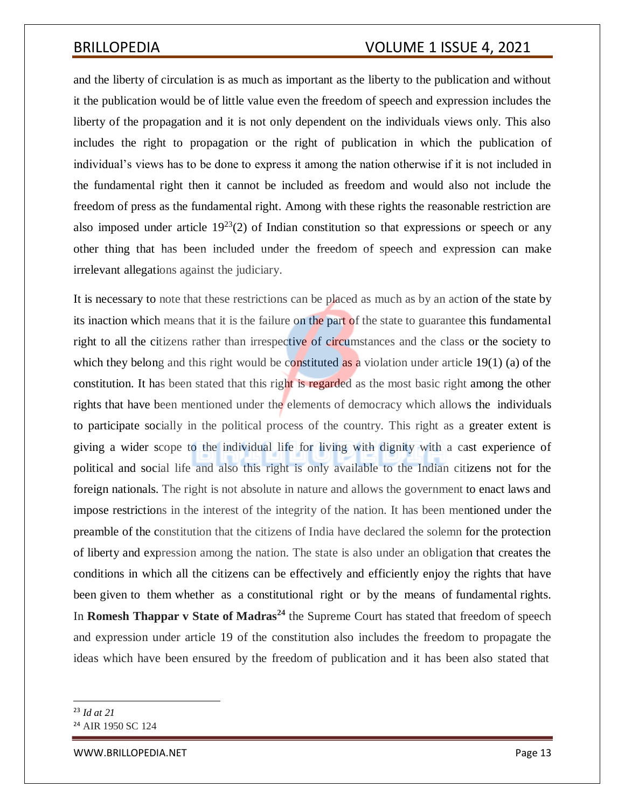and the liberty of circulation is as much as important as the liberty to the publication and without it the publication would be of little value even the freedom of speech and expression includes the liberty of the propagation and it is not only dependent on the individuals views only. This also includes the right to propagation or the right of publication in which the publication of individual's views has to be done to express it among the nation otherwise if it is not included in the fundamental right then it cannot be included as freedom and would also not include the freedom of press as the fundamental right. Among with these rights the reasonable restriction are also imposed under article  $19^{23}(2)$  of Indian constitution so that expressions or speech or any other thing that has been included under the freedom of speech and expression can make irrelevant allegations against the judiciary.

It is necessary to note that these restrictions can be placed as much as by an action of the state by its inaction which means that it is the failure on the part of the state to guarantee this fundamental right to all the citizens rather than irrespective of circumstances and the class or the society to which they belong and this right would be constituted as a violation under article 19(1) (a) of the constitution. It has been stated that this right is regarded as the most basic right among the other rights that have been mentioned under the elements of democracy which allows the individuals to participate socially in the political process of the country. This right as a greater extent is giving a wider scope to the individual life for living with dignity with a cast experience of political and social life and also this right is only available to the Indian citizens not for the foreign nationals. The right is not absolute in nature and allows the government to enact laws and impose restrictions in the interest of the integrity of the nation. It has been mentioned under the preamble of the constitution that the citizens of India have declared the solemn for the protection of liberty and expression among the nation. The state is also under an obligation that creates the conditions in which all the citizens can be effectively and efficiently enjoy the rights that have been given to them whether as a constitutional right or by the means of fundamental rights. In **Romesh Thappar v State of Madras<sup>24</sup>** the Supreme Court has stated that freedom of speech and expression under article 19 of the constitution also includes the freedom to propagate the ideas which have been ensured by the freedom of publication and it has been also stated that

<sup>23</sup> *Id at 21*

<sup>&</sup>lt;sup>24</sup> AIR 1950 SC 124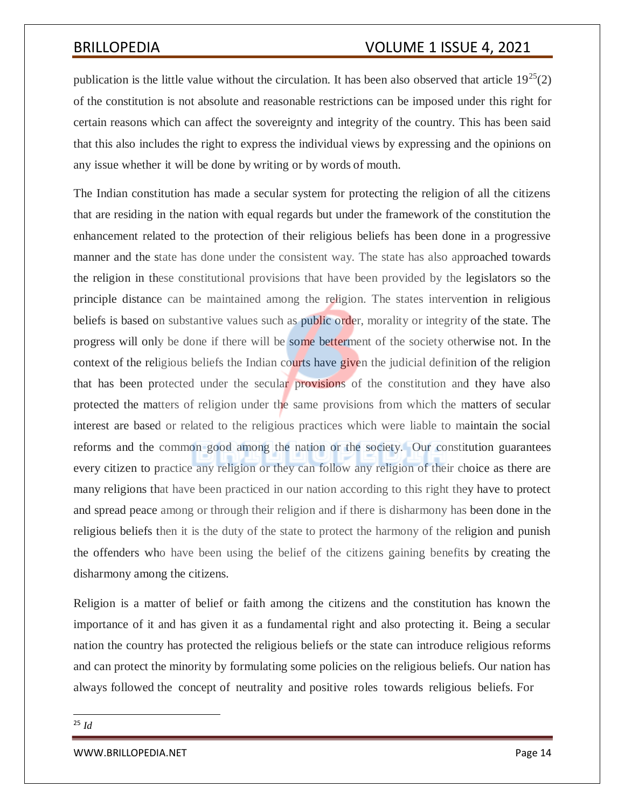publication is the little value without the circulation. It has been also observed that article  $19^{25}(2)$ of the constitution is not absolute and reasonable restrictions can be imposed under this right for certain reasons which can affect the sovereignty and integrity of the country. This has been said that this also includes the right to express the individual views by expressing and the opinions on any issue whether it will be done by writing or by words of mouth.

The Indian constitution has made a secular system for protecting the religion of all the citizens that are residing in the nation with equal regards but under the framework of the constitution the enhancement related to the protection of their religious beliefs has been done in a progressive manner and the state has done under the consistent way. The state has also approached towards the religion in these constitutional provisions that have been provided by the legislators so the principle distance can be maintained among the religion. The states intervention in religious beliefs is based on substantive values such as *public* order, morality or integrity of the state. The progress will only be done if there will be some betterment of the society otherwise not. In the context of the religious beliefs the Indian courts have given the judicial definition of the religion that has been protected under the secular provisions of the constitution and they have also protected the matters of religion under the same provisions from which the matters of secular interest are based or related to the religious practices which were liable to maintain the social reforms and the common good among the nation or the society. Our constitution guarantees every citizen to practice any religion or they can follow any religion of their choice as there are many religions that have been practiced in our nation according to this right they have to protect and spread peace among or through their religion and if there is disharmony has been done in the religious beliefs then it is the duty of the state to protect the harmony of the religion and punish the offenders who have been using the belief of the citizens gaining benefits by creating the disharmony among the citizens.

Religion is a matter of belief or faith among the citizens and the constitution has known the importance of it and has given it as a fundamental right and also protecting it. Being a secular nation the country has protected the religious beliefs or the state can introduce religious reforms and can protect the minority by formulating some policies on the religious beliefs. Our nation has always followed the concept of neutrality and positive roles towards religious beliefs. For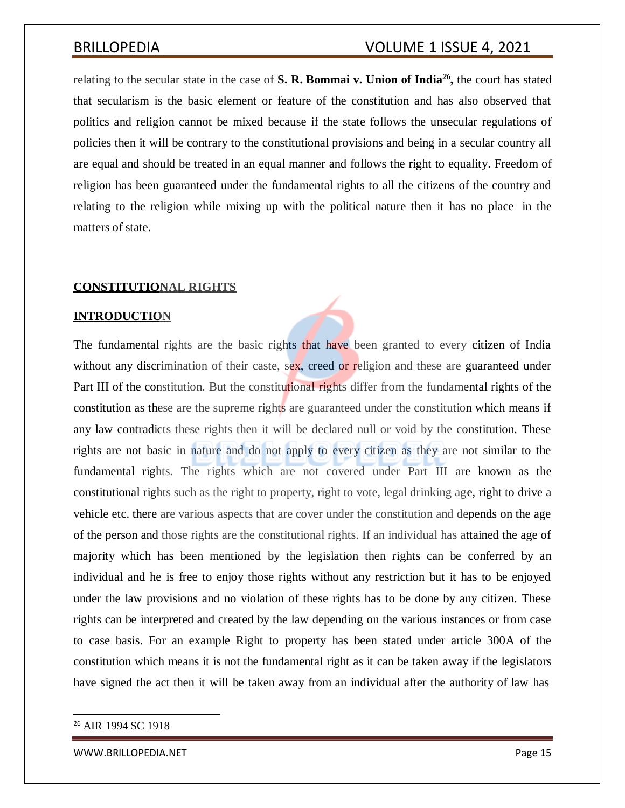relating to the secular state in the case of S. R. Bommai v. Union of India<sup>26</sup>, the court has stated that secularism is the basic element or feature of the constitution and has also observed that politics and religion cannot be mixed because if the state follows the unsecular regulations of policies then it will be contrary to the constitutional provisions and being in a secular country all are equal and should be treated in an equal manner and follows the right to equality. Freedom of religion has been guaranteed under the fundamental rights to all the citizens of the country and relating to the religion while mixing up with the political nature then it has no place in the matters of state.

## **CONSTITUTIONAL RIGHTS**

## **INTRODUCTION**

The fundamental rights are the basic rights that have been granted to every citizen of India without any discrimination of their caste, sex, creed or religion and these are guaranteed under Part III of the constitution. But the constitutional rights differ from the fundamental rights of the constitution as these are the supreme rights are guaranteed under the constitution which means if any law contradicts these rights then it will be declared null or void by the constitution. These rights are not basic in nature and do not apply to every citizen as they are not similar to the fundamental rights. The rights which are not covered under Part III are known as the constitutional rights such as the right to property, right to vote, legal drinking age, right to drive a vehicle etc. there are various aspects that are cover under the constitution and depends on the age of the person and those rights are the constitutional rights. If an individual has attained the age of majority which has been mentioned by the legislation then rights can be conferred by an individual and he is free to enjoy those rights without any restriction but it has to be enjoyed under the law provisions and no violation of these rights has to be done by any citizen. These rights can be interpreted and created by the law depending on the various instances or from case to case basis. For an example Right to property has been stated under article 300A of the constitution which means it is not the fundamental right as it can be taken away if the legislators have signed the act then it will be taken away from an individual after the authority of law has

<sup>&</sup>lt;sup>26</sup> AIR 1994 SC 1918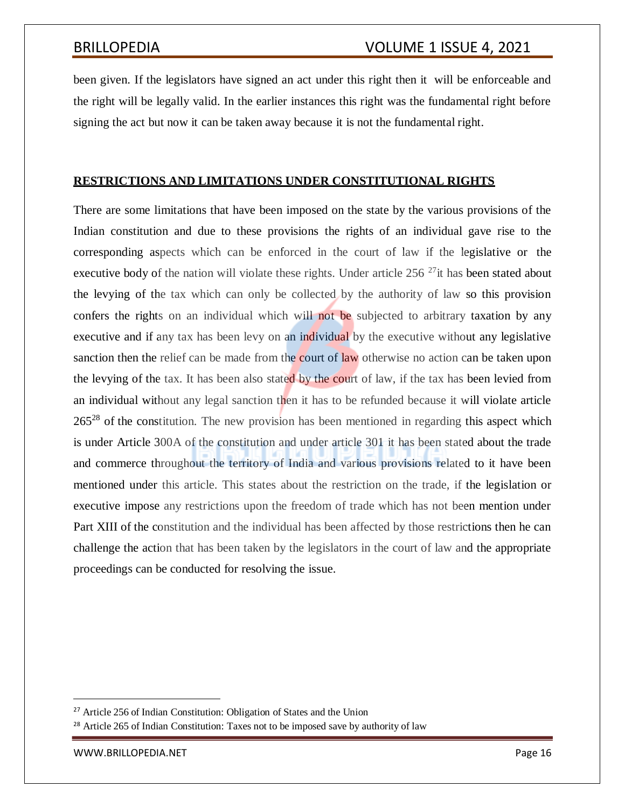been given. If the legislators have signed an act under this right then it will be enforceable and the right will be legally valid. In the earlier instances this right was the fundamental right before signing the act but now it can be taken away because it is not the fundamental right.

## **RESTRICTIONS AND LIMITATIONS UNDER CONSTITUTIONAL RIGHTS**

There are some limitations that have been imposed on the state by the various provisions of the Indian constitution and due to these provisions the rights of an individual gave rise to the corresponding aspects which can be enforced in the court of law if the legislative or the executive body of the nation will violate these rights. Under article 256<sup>27</sup>it has been stated about the levying of the tax which can only be collected by the authority of law so this provision confers the rights on an individual which will not be subjected to arbitrary taxation by any executive and if any tax has been levy on an individual by the executive without any legislative sanction then the relief can be made from the court of law otherwise no action can be taken upon the levying of the tax. It has been also stated by the court of law, if the tax has been levied from an individual without any legal sanction then it has to be refunded because it will violate article  $265^{28}$  of the constitution. The new provision has been mentioned in regarding this aspect which is under Article 300A of the constitution and under article 301 it has been stated about the trade and commerce throughout the territory of India and various provisions related to it have been mentioned under this article. This states about the restriction on the trade, if the legislation or executive impose any restrictions upon the freedom of trade which has not been mention under Part XIII of the constitution and the individual has been affected by those restrictions then he can challenge the action that has been taken by the legislators in the court of law and the appropriate proceedings can be conducted for resolving the issue.

<sup>&</sup>lt;sup>27</sup> Article 256 of Indian Constitution: Obligation of States and the Union

<sup>&</sup>lt;sup>28</sup> Article 265 of Indian Constitution: Taxes not to be imposed save by authority of law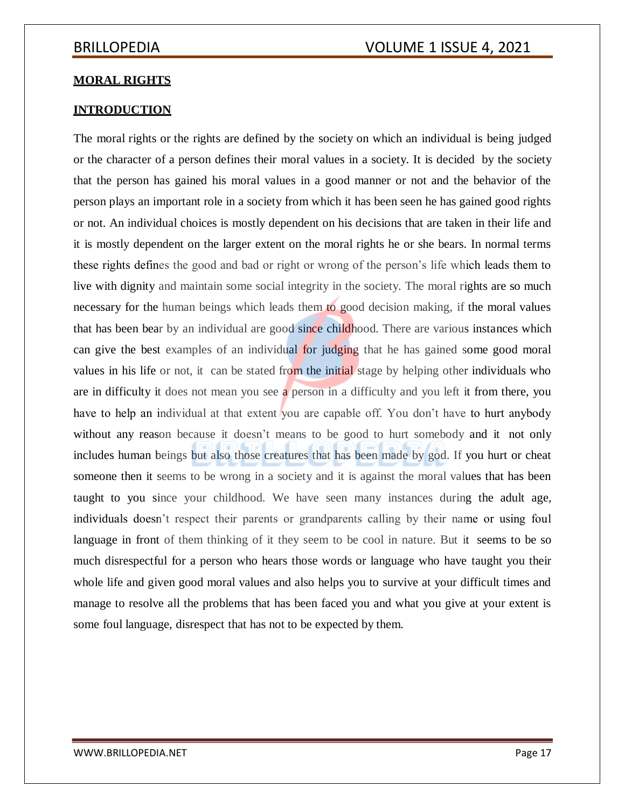## **MORAL RIGHTS**

## **INTRODUCTION**

The moral rights or the rights are defined by the society on which an individual is being judged or the character of a person defines their moral values in a society. It is decided by the society that the person has gained his moral values in a good manner or not and the behavior of the person plays an important role in a society from which it has been seen he has gained good rights or not. An individual choices is mostly dependent on his decisions that are taken in their life and it is mostly dependent on the larger extent on the moral rights he or she bears. In normal terms these rights defines the good and bad or right or wrong of the person's life which leads them to live with dignity and maintain some social integrity in the society. The moral rights are so much necessary for the human beings which leads them to good decision making, if the moral values that has been bear by an individual are good since childhood. There are various instances which can give the best examples of an individual for judging that he has gained some good moral values in his life or not, it can be stated from the initial stage by helping other individuals who are in difficulty it does not mean you see a person in a difficulty and you left it from there, you have to help an individual at that extent you are capable off. You don't have to hurt anybody without any reason because it doesn't means to be good to hurt somebody and it not only includes human beings but also those creatures that has been made by god. If you hurt or cheat someone then it seems to be wrong in a society and it is against the moral values that has been taught to you since your childhood. We have seen many instances during the adult age, individuals doesn't respect their parents or grandparents calling by their name or using foul language in front of them thinking of it they seem to be cool in nature. But it seems to be so much disrespectful for a person who hears those words or language who have taught you their whole life and given good moral values and also helps you to survive at your difficult times and manage to resolve all the problems that has been faced you and what you give at your extent is some foul language, disrespect that has not to be expected by them.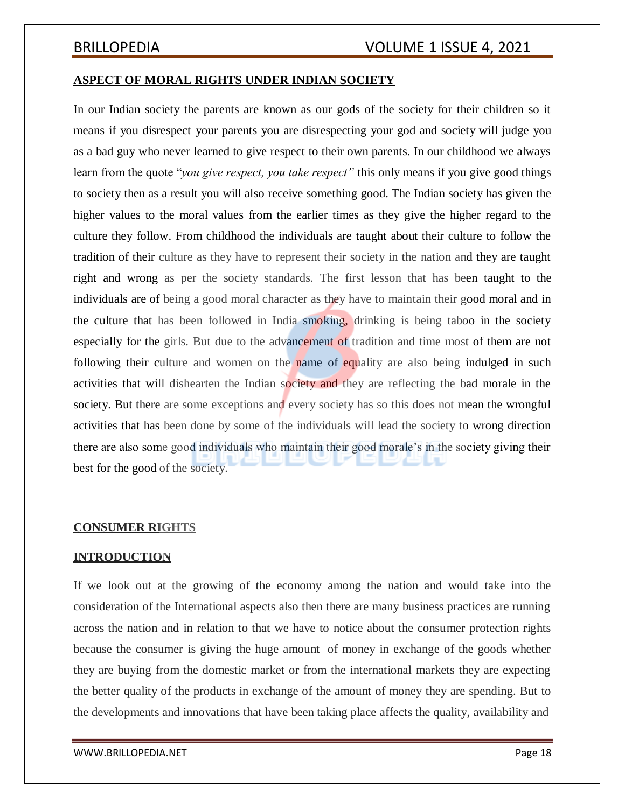## **ASPECT OF MORAL RIGHTS UNDER INDIAN SOCIETY**

In our Indian society the parents are known as our gods of the society for their children so it means if you disrespect your parents you are disrespecting your god and society will judge you as a bad guy who never learned to give respect to their own parents. In our childhood we always learn from the quote "*you give respect, you take respect"* this only means if you give good things to society then as a result you will also receive something good. The Indian society has given the higher values to the moral values from the earlier times as they give the higher regard to the culture they follow. From childhood the individuals are taught about their culture to follow the tradition of their culture as they have to represent their society in the nation and they are taught right and wrong as per the society standards. The first lesson that has been taught to the individuals are of being a good moral character as they have to maintain their good moral and in the culture that has been followed in India smoking, drinking is being taboo in the society especially for the girls. But due to the advancement of tradition and time most of them are not following their culture and women on the name of equality are also being indulged in such activities that will dishearten the Indian society and they are reflecting the bad morale in the society. But there are some exceptions and every society has so this does not mean the wrongful activities that has been done by some of the individuals will lead the society to wrong direction there are also some good individuals who maintain their good morale's in the society giving their best for the good of the society.

## **CONSUMER RIGHTS**

## **INTRODUCTION**

If we look out at the growing of the economy among the nation and would take into the consideration of the International aspects also then there are many business practices are running across the nation and in relation to that we have to notice about the consumer protection rights because the consumer is giving the huge amount of money in exchange of the goods whether they are buying from the domestic market or from the international markets they are expecting the better quality of the products in exchange of the amount of money they are spending. But to the developments and innovations that have been taking place affects the quality, availability and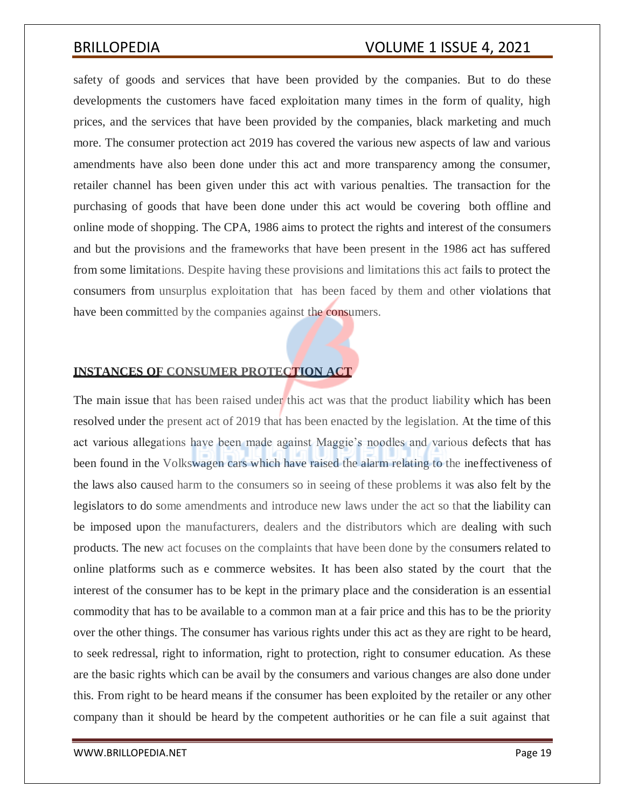safety of goods and services that have been provided by the companies. But to do these developments the customers have faced exploitation many times in the form of quality, high prices, and the services that have been provided by the companies, black marketing and much more. The consumer protection act 2019 has covered the various new aspects of law and various amendments have also been done under this act and more transparency among the consumer, retailer channel has been given under this act with various penalties. The transaction for the purchasing of goods that have been done under this act would be covering both offline and online mode of shopping. The CPA, 1986 aims to protect the rights and interest of the consumers and but the provisions and the frameworks that have been present in the 1986 act has suffered from some limitations. Despite having these provisions and limitations this act fails to protect the consumers from unsurplus exploitation that has been faced by them and other violations that have been committed by the companies against the consumers.

## **INSTANCES OF CONSUMER PROTECTION ACT**

The main issue that has been raised under this act was that the product liability which has been resolved under the present act of 2019 that has been enacted by the legislation. At the time of this act various allegations have been made against Maggie's noodles and various defects that has been found in the Volkswagen cars which have raised the alarm relating to the ineffectiveness of the laws also caused harm to the consumers so in seeing of these problems it was also felt by the legislators to do some amendments and introduce new laws under the act so that the liability can be imposed upon the manufacturers, dealers and the distributors which are dealing with such products. The new act focuses on the complaints that have been done by the consumers related to online platforms such as e commerce websites. It has been also stated by the court that the interest of the consumer has to be kept in the primary place and the consideration is an essential commodity that has to be available to a common man at a fair price and this has to be the priority over the other things. The consumer has various rights under this act as they are right to be heard, to seek redressal, right to information, right to protection, right to consumer education. As these are the basic rights which can be avail by the consumers and various changes are also done under this. From right to be heard means if the consumer has been exploited by the retailer or any other company than it should be heard by the competent authorities or he can file a suit against that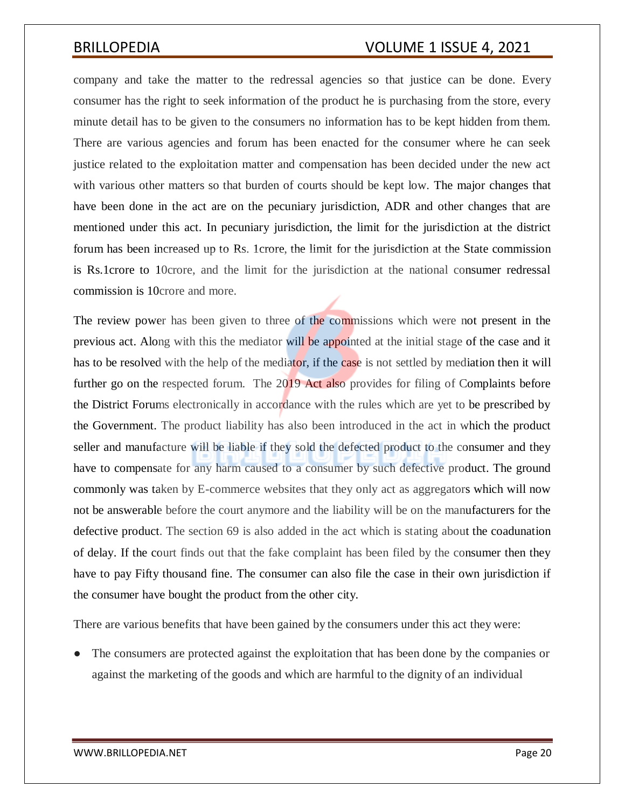company and take the matter to the redressal agencies so that justice can be done. Every consumer has the right to seek information of the product he is purchasing from the store, every minute detail has to be given to the consumers no information has to be kept hidden from them. There are various agencies and forum has been enacted for the consumer where he can seek justice related to the exploitation matter and compensation has been decided under the new act with various other matters so that burden of courts should be kept low. The major changes that have been done in the act are on the pecuniary jurisdiction, ADR and other changes that are mentioned under this act. In pecuniary jurisdiction, the limit for the jurisdiction at the district forum has been increased up to Rs. 1crore, the limit for the jurisdiction at the State commission is Rs.1crore to 10crore, and the limit for the jurisdiction at the national consumer redressal commission is 10crore and more.

The review power has been given to three of the commissions which were not present in the previous act. Along with this the mediator will be appointed at the initial stage of the case and it has to be resolved with the help of the mediator, if the case is not settled by mediation then it will further go on the respected forum. The 2019 Act also provides for filing of Complaints before the District Forums electronically in accordance with the rules which are yet to be prescribed by the Government. The product liability has also been introduced in the act in which the product seller and manufacture will be liable if they sold the defected product to the consumer and they have to compensate for any harm caused to a consumer by such defective product. The ground commonly was taken by E-commerce websites that they only act as aggregators which will now not be answerable before the court anymore and the liability will be on the manufacturers for the defective product. The section 69 is also added in the act which is stating about the coadunation of delay. If the court finds out that the fake complaint has been filed by the consumer then they have to pay Fifty thousand fine. The consumer can also file the case in their own jurisdiction if the consumer have bought the product from the other city.

There are various benefits that have been gained by the consumers under this act they were:

The consumers are protected against the exploitation that has been done by the companies or against the marketing of the goods and which are harmful to the dignity of an individual